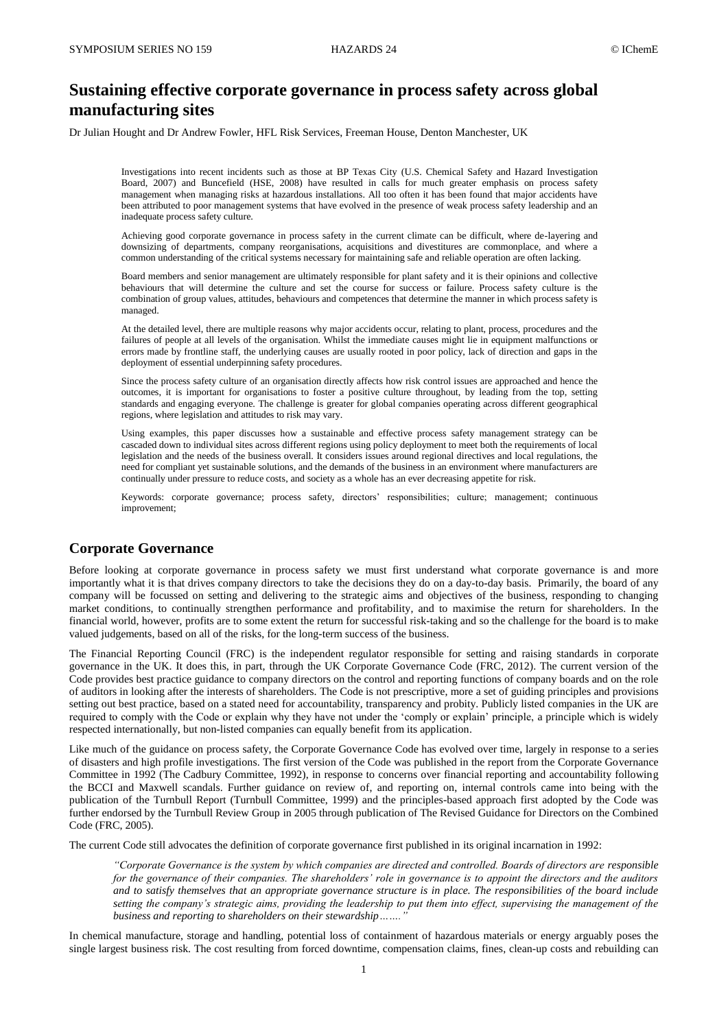# **Sustaining effective corporate governance in process safety across global manufacturing sites**

Dr Julian Hought and Dr Andrew Fowler, HFL Risk Services, Freeman House, Denton Manchester, UK

Investigations into recent incidents such as those at BP Texas City (U.S. Chemical Safety and Hazard Investigation Board, 2007) and Buncefield (HSE, 2008) have resulted in calls for much greater emphasis on process safety management when managing risks at hazardous installations. All too often it has been found that major accidents have been attributed to poor management systems that have evolved in the presence of weak process safety leadership and an inadequate process safety culture.

Achieving good corporate governance in process safety in the current climate can be difficult, where de-layering and downsizing of departments, company reorganisations, acquisitions and divestitures are commonplace, and where a common understanding of the critical systems necessary for maintaining safe and reliable operation are often lacking.

Board members and senior management are ultimately responsible for plant safety and it is their opinions and collective behaviours that will determine the culture and set the course for success or failure. Process safety culture is the combination of group values, attitudes, behaviours and competences that determine the manner in which process safety is managed.

At the detailed level, there are multiple reasons why major accidents occur, relating to plant, process, procedures and the failures of people at all levels of the organisation. Whilst the immediate causes might lie in equipment malfunctions or errors made by frontline staff, the underlying causes are usually rooted in poor policy, lack of direction and gaps in the deployment of essential underpinning safety procedures.

Since the process safety culture of an organisation directly affects how risk control issues are approached and hence the outcomes, it is important for organisations to foster a positive culture throughout, by leading from the top, setting standards and engaging everyone. The challenge is greater for global companies operating across different geographical regions, where legislation and attitudes to risk may vary.

Using examples, this paper discusses how a sustainable and effective process safety management strategy can be cascaded down to individual sites across different regions using policy deployment to meet both the requirements of local legislation and the needs of the business overall. It considers issues around regional directives and local regulations, the need for compliant yet sustainable solutions, and the demands of the business in an environment where manufacturers are continually under pressure to reduce costs, and society as a whole has an ever decreasing appetite for risk.

Keywords: corporate governance; process safety, directors' responsibilities; culture; management; continuous improvement;

## **Corporate Governance**

Before looking at corporate governance in process safety we must first understand what corporate governance is and more importantly what it is that drives company directors to take the decisions they do on a day-to-day basis. Primarily, the board of any company will be focussed on setting and delivering to the strategic aims and objectives of the business, responding to changing market conditions, to continually strengthen performance and profitability, and to maximise the return for shareholders. In the financial world, however, profits are to some extent the return for successful risk-taking and so the challenge for the board is to make valued judgements, based on all of the risks, for the long-term success of the business.

The Financial Reporting Council (FRC) is the independent regulator responsible for setting and raising standards in corporate governance in the UK. It does this, in part, through the UK Corporate Governance Code (FRC, 2012). The current version of the Code provides best practice guidance to company directors on the control and reporting functions of company boards and on the role of auditors in looking after the interests of shareholders. The Code is not prescriptive, more a set of guiding principles and provisions setting out best practice, based on a stated need for accountability, transparency and probity. Publicly listed companies in the UK are required to comply with the Code or explain why they have not under the 'comply or explain' principle, a principle which is widely respected internationally, but non-listed companies can equally benefit from its application.

Like much of the guidance on process safety, the Corporate Governance Code has evolved over time, largely in response to a series of disasters and high profile investigations. The first version of the Code was published in the report from the Corporate Governance Committee in 1992 (The Cadbury Committee, 1992), in response to concerns over financial reporting and accountability following the BCCI and Maxwell scandals. Further guidance on review of, and reporting on, internal controls came into being with the publication of the Turnbull Report (Turnbull Committee, 1999) and the principles-based approach first adopted by the Code was further endorsed by the Turnbull Review Group in 2005 through publication of The Revised Guidance for Directors on the Combined Code (FRC, 2005).

The current Code still advocates the definition of corporate governance first published in its original incarnation in 1992:

*"Corporate Governance is the system by which companies are directed and controlled. Boards of directors are responsible for the governance of their companies. The shareholders' role in governance is to appoint the directors and the auditors and to satisfy themselves that an appropriate governance structure is in place. The responsibilities of the board include setting the company's strategic aims, providing the leadership to put them into effect, supervising the management of the business and reporting to shareholders on their stewardship*.......

In chemical manufacture, storage and handling, potential loss of containment of hazardous materials or energy arguably poses the single largest business risk. The cost resulting from forced downtime, compensation claims, fines, clean-up costs and rebuilding can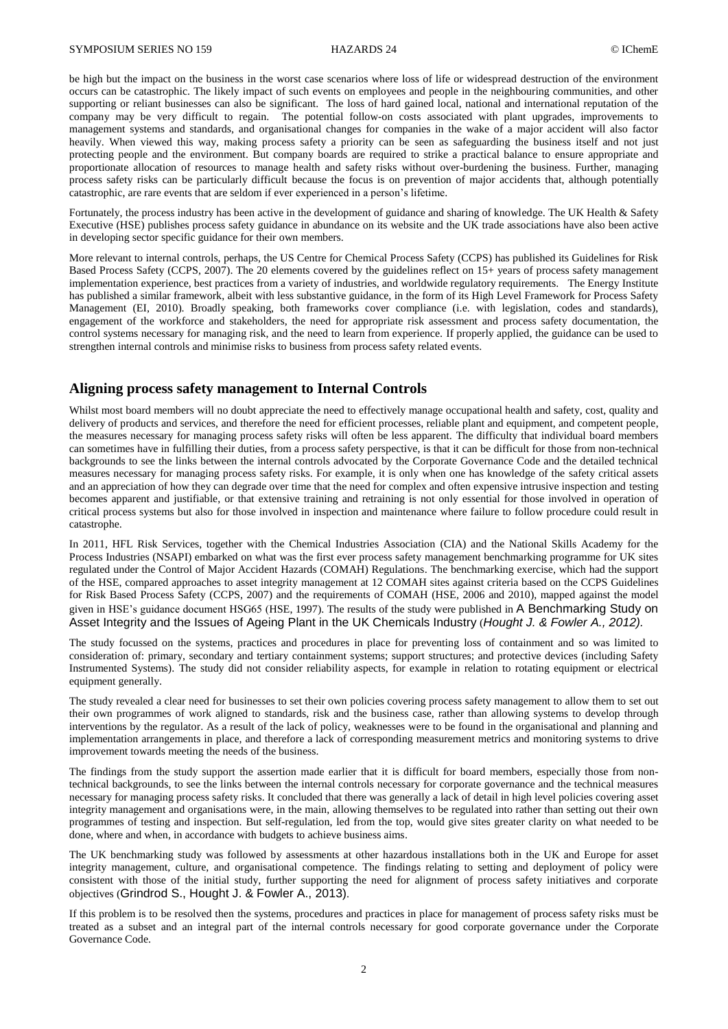be high but the impact on the business in the worst case scenarios where loss of life or widespread destruction of the environment occurs can be catastrophic. The likely impact of such events on employees and people in the neighbouring communities, and other supporting or reliant businesses can also be significant. The loss of hard gained local, national and international reputation of the company may be very difficult to regain. The potential follow-on costs associated with plant upgrades, improvements to management systems and standards, and organisational changes for companies in the wake of a major accident will also factor heavily. When viewed this way, making process safety a priority can be seen as safeguarding the business itself and not just protecting people and the environment. But company boards are required to strike a practical balance to ensure appropriate and proportionate allocation of resources to manage health and safety risks without over-burdening the business. Further, managing process safety risks can be particularly difficult because the focus is on prevention of major accidents that, although potentially catastrophic, are rare events that are seldom if ever experienced in a person's lifetime.

Fortunately, the process industry has been active in the development of guidance and sharing of knowledge. The UK Health & Safety Executive (HSE) publishes process safety guidance in abundance on its website and the UK trade associations have also been active in developing sector specific guidance for their own members.

More relevant to internal controls, perhaps, the US Centre for Chemical Process Safety (CCPS) has published its Guidelines for Risk Based Process Safety (CCPS, 2007). The 20 elements covered by the guidelines reflect on 15+ years of process safety management implementation experience, best practices from a variety of industries, and worldwide regulatory requirements. The Energy Institute has published a similar framework, albeit with less substantive guidance, in the form of its High Level Framework for Process Safety Management (EI, 2010). Broadly speaking, both frameworks cover compliance (i.e. with legislation, codes and standards), engagement of the workforce and stakeholders, the need for appropriate risk assessment and process safety documentation, the control systems necessary for managing risk, and the need to learn from experience. If properly applied, the guidance can be used to strengthen internal controls and minimise risks to business from process safety related events.

## **Aligning process safety management to Internal Controls**

Whilst most board members will no doubt appreciate the need to effectively manage occupational health and safety, cost, quality and delivery of products and services, and therefore the need for efficient processes, reliable plant and equipment, and competent people, the measures necessary for managing process safety risks will often be less apparent. The difficulty that individual board members can sometimes have in fulfilling their duties, from a process safety perspective, is that it can be difficult for those from non-technical backgrounds to see the links between the internal controls advocated by the Corporate Governance Code and the detailed technical measures necessary for managing process safety risks. For example, it is only when one has knowledge of the safety critical assets and an appreciation of how they can degrade over time that the need for complex and often expensive intrusive inspection and testing becomes apparent and justifiable, or that extensive training and retraining is not only essential for those involved in operation of critical process systems but also for those involved in inspection and maintenance where failure to follow procedure could result in catastrophe.

In 2011, HFL Risk Services, together with the Chemical Industries Association (CIA) and the National Skills Academy for the Process Industries (NSAPI) embarked on what was the first ever process safety management benchmarking programme for UK sites regulated under the Control of Major Accident Hazards (COMAH) Regulations. The benchmarking exercise, which had the support of the HSE, compared approaches to asset integrity management at 12 COMAH sites against criteria based on the CCPS Guidelines for Risk Based Process Safety (CCPS, 2007) and the requirements of COMAH (HSE, 2006 and 2010), mapped against the model given in HSE's guidance document HSG65 (HSE, 1997). The results of the study were published in A Benchmarking Study on Asset Integrity and the Issues of Ageing Plant in the UK Chemicals Industry (*Hought J. & Fowler A., 2012).*

The study focussed on the systems, practices and procedures in place for preventing loss of containment and so was limited to consideration of: primary, secondary and tertiary containment systems; support structures; and protective devices (including Safety Instrumented Systems). The study did not consider reliability aspects, for example in relation to rotating equipment or electrical equipment generally.

The study revealed a clear need for businesses to set their own policies covering process safety management to allow them to set out their own programmes of work aligned to standards, risk and the business case, rather than allowing systems to develop through interventions by the regulator. As a result of the lack of policy, weaknesses were to be found in the organisational and planning and implementation arrangements in place, and therefore a lack of corresponding measurement metrics and monitoring systems to drive improvement towards meeting the needs of the business.

The findings from the study support the assertion made earlier that it is difficult for board members, especially those from nontechnical backgrounds, to see the links between the internal controls necessary for corporate governance and the technical measures necessary for managing process safety risks. It concluded that there was generally a lack of detail in high level policies covering asset integrity management and organisations were, in the main, allowing themselves to be regulated into rather than setting out their own programmes of testing and inspection. But self-regulation, led from the top, would give sites greater clarity on what needed to be done, where and when, in accordance with budgets to achieve business aims.

The UK benchmarking study was followed by assessments at other hazardous installations both in the UK and Europe for asset integrity management, culture, and organisational competence. The findings relating to setting and deployment of policy were consistent with those of the initial study, further supporting the need for alignment of process safety initiatives and corporate objectives (Grindrod S., Hought J. & Fowler A., 2013).

If this problem is to be resolved then the systems, procedures and practices in place for management of process safety risks must be treated as a subset and an integral part of the internal controls necessary for good corporate governance under the Corporate Governance Code.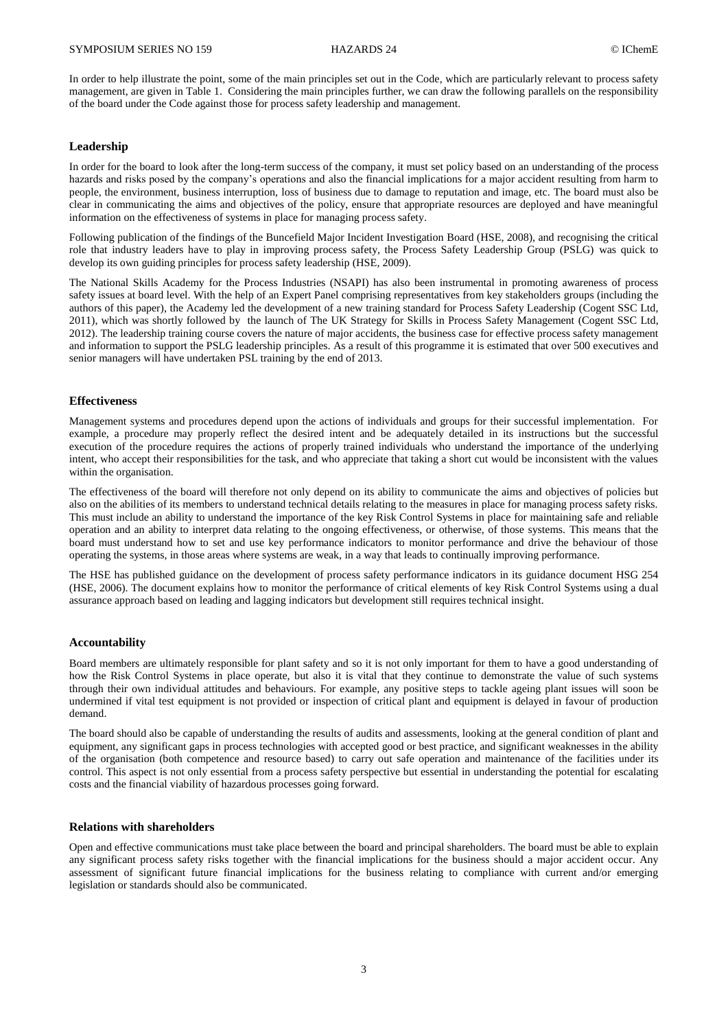In order to help illustrate the point, some of the main principles set out in the Code, which are particularly relevant to process safety management, are given in Table 1. Considering the main principles further, we can draw the following parallels on the responsibility of the board under the Code against those for process safety leadership and management.

#### **Leadership**

In order for the board to look after the long-term success of the company, it must set policy based on an understanding of the process hazards and risks posed by the company's operations and also the financial implications for a major accident resulting from harm to people, the environment, business interruption, loss of business due to damage to reputation and image, etc. The board must also be clear in communicating the aims and objectives of the policy, ensure that appropriate resources are deployed and have meaningful information on the effectiveness of systems in place for managing process safety.

Following publication of the findings of the Buncefield Major Incident Investigation Board (HSE, 2008), and recognising the critical role that industry leaders have to play in improving process safety, the Process Safety Leadership Group (PSLG) was quick to develop its own guiding principles for process safety leadership (HSE, 2009).

The National Skills Academy for the Process Industries (NSAPI) has also been instrumental in promoting awareness of process safety issues at board level. With the help of an Expert Panel comprising representatives from key stakeholders groups (including the authors of this paper), the Academy led the development of a new training standard for Process Safety Leadership (Cogent SSC Ltd, 2011), which was shortly followed by the launch of The UK Strategy for Skills in Process Safety Management (Cogent SSC Ltd, 2012). The leadership training course covers the nature of major accidents, the business case for effective process safety management and information to support the PSLG leadership principles. As a result of this programme it is estimated that over 500 executives and senior managers will have undertaken PSL training by the end of 2013.

#### **Effectiveness**

Management systems and procedures depend upon the actions of individuals and groups for their successful implementation. For example, a procedure may properly reflect the desired intent and be adequately detailed in its instructions but the successful execution of the procedure requires the actions of properly trained individuals who understand the importance of the underlying intent, who accept their responsibilities for the task, and who appreciate that taking a short cut would be inconsistent with the values within the organisation.

The effectiveness of the board will therefore not only depend on its ability to communicate the aims and objectives of policies but also on the abilities of its members to understand technical details relating to the measures in place for managing process safety risks. This must include an ability to understand the importance of the key Risk Control Systems in place for maintaining safe and reliable operation and an ability to interpret data relating to the ongoing effectiveness, or otherwise, of those systems. This means that the board must understand how to set and use key performance indicators to monitor performance and drive the behaviour of those operating the systems, in those areas where systems are weak, in a way that leads to continually improving performance.

The HSE has published guidance on the development of process safety performance indicators in its guidance document HSG 254 (HSE, 2006). The document explains how to monitor the performance of critical elements of key Risk Control Systems using a dual assurance approach based on leading and lagging indicators but development still requires technical insight.

#### **Accountability**

Board members are ultimately responsible for plant safety and so it is not only important for them to have a good understanding of how the Risk Control Systems in place operate, but also it is vital that they continue to demonstrate the value of such systems through their own individual attitudes and behaviours. For example, any positive steps to tackle ageing plant issues will soon be undermined if vital test equipment is not provided or inspection of critical plant and equipment is delayed in favour of production demand.

The board should also be capable of understanding the results of audits and assessments, looking at the general condition of plant and equipment, any significant gaps in process technologies with accepted good or best practice, and significant weaknesses in the ability of the organisation (both competence and resource based) to carry out safe operation and maintenance of the facilities under its control. This aspect is not only essential from a process safety perspective but essential in understanding the potential for escalating costs and the financial viability of hazardous processes going forward.

#### **Relations with shareholders**

Open and effective communications must take place between the board and principal shareholders. The board must be able to explain any significant process safety risks together with the financial implications for the business should a major accident occur. Any assessment of significant future financial implications for the business relating to compliance with current and/or emerging legislation or standards should also be communicated.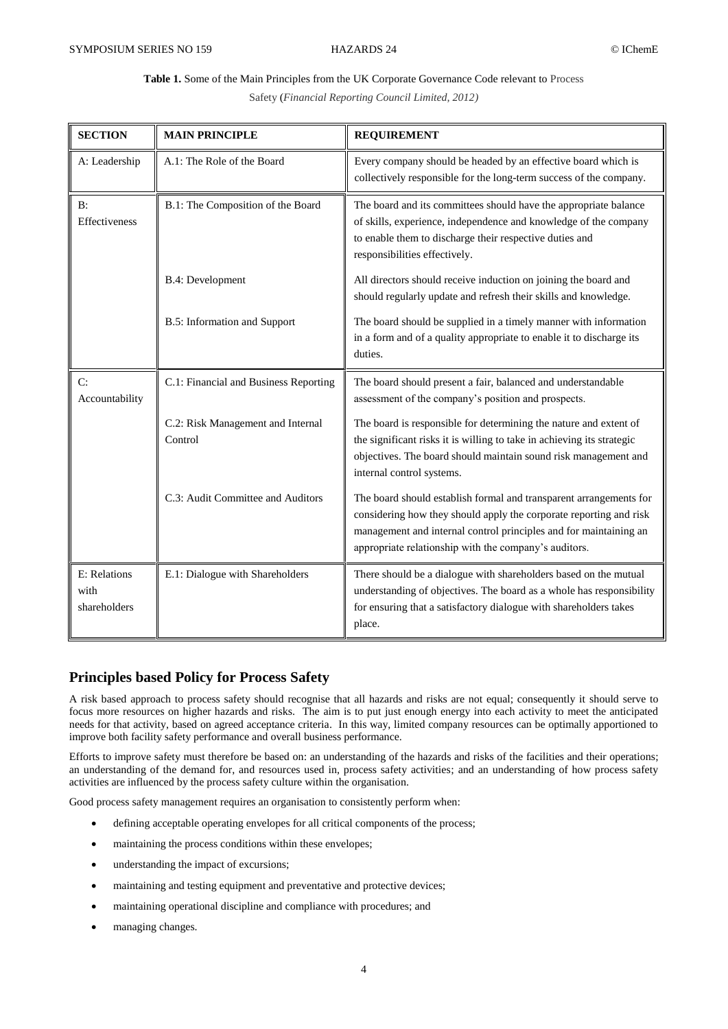## **Table 1.** Some of the Main Principles from the UK Corporate Governance Code relevant to Process

Safety (*Financial Reporting Council Limited, 2012)*

| <b>SECTION</b>                       | <b>MAIN PRINCIPLE</b>                        | <b>REQUIREMENT</b>                                                                                                                                                                                                                                                     |
|--------------------------------------|----------------------------------------------|------------------------------------------------------------------------------------------------------------------------------------------------------------------------------------------------------------------------------------------------------------------------|
| A: Leadership                        | A.1: The Role of the Board                   | Every company should be headed by an effective board which is<br>collectively responsible for the long-term success of the company.                                                                                                                                    |
| B:<br><b>Effectiveness</b>           | B.1: The Composition of the Board            | The board and its committees should have the appropriate balance<br>of skills, experience, independence and knowledge of the company<br>to enable them to discharge their respective duties and<br>responsibilities effectively.                                       |
|                                      | B.4: Development                             | All directors should receive induction on joining the board and<br>should regularly update and refresh their skills and knowledge.                                                                                                                                     |
|                                      | <b>B.5:</b> Information and Support          | The board should be supplied in a timely manner with information<br>in a form and of a quality appropriate to enable it to discharge its<br>duties.                                                                                                                    |
| C:<br>Accountability                 | C.1: Financial and Business Reporting        | The board should present a fair, balanced and understandable<br>assessment of the company's position and prospects.                                                                                                                                                    |
|                                      | C.2: Risk Management and Internal<br>Control | The board is responsible for determining the nature and extent of<br>the significant risks it is willing to take in achieving its strategic<br>objectives. The board should maintain sound risk management and<br>internal control systems.                            |
|                                      | C.3: Audit Committee and Auditors            | The board should establish formal and transparent arrangements for<br>considering how they should apply the corporate reporting and risk<br>management and internal control principles and for maintaining an<br>appropriate relationship with the company's auditors. |
| E: Relations<br>with<br>shareholders | E.1: Dialogue with Shareholders              | There should be a dialogue with shareholders based on the mutual<br>understanding of objectives. The board as a whole has responsibility<br>for ensuring that a satisfactory dialogue with shareholders takes<br>place.                                                |

## **Principles based Policy for Process Safety**

A risk based approach to process safety should recognise that all hazards and risks are not equal; consequently it should serve to focus more resources on higher hazards and risks. The aim is to put just enough energy into each activity to meet the anticipated needs for that activity, based on agreed acceptance criteria. In this way, limited company resources can be optimally apportioned to improve both facility safety performance and overall business performance.

Efforts to improve safety must therefore be based on: an understanding of the hazards and risks of the facilities and their operations; an understanding of the demand for, and resources used in, process safety activities; and an understanding of how process safety activities are influenced by the process safety culture within the organisation.

Good process safety management requires an organisation to consistently perform when:

- defining acceptable operating envelopes for all critical components of the process;
- maintaining the process conditions within these envelopes;
- understanding the impact of excursions;
- maintaining and testing equipment and preventative and protective devices;
- maintaining operational discipline and compliance with procedures; and
- managing changes.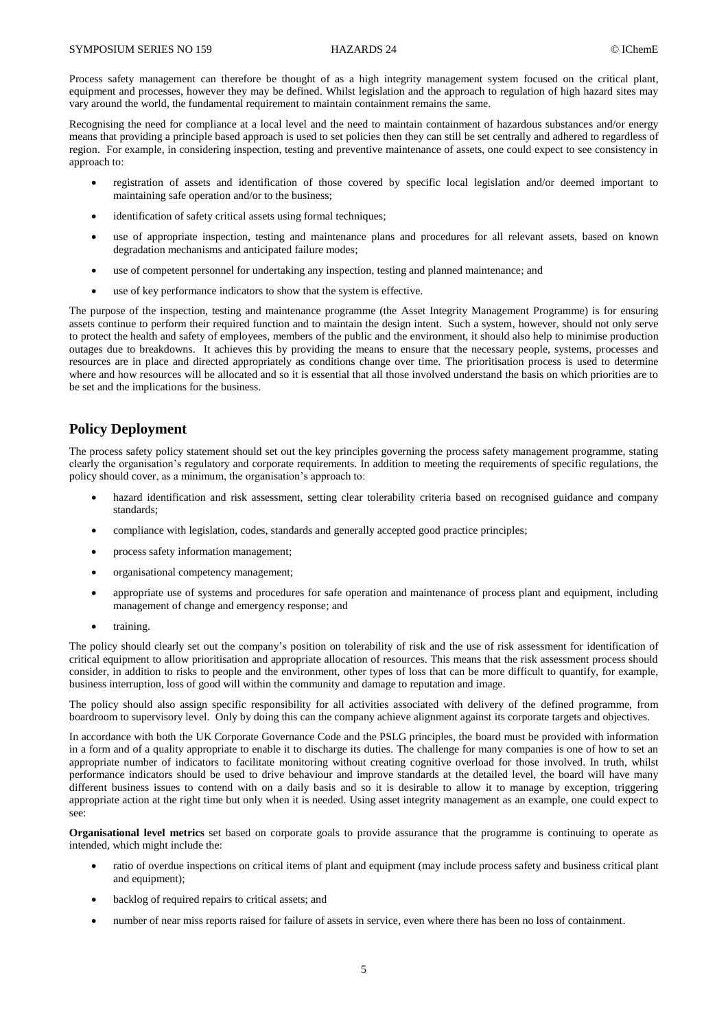Process safety management can therefore be thought of as a high integrity management system focused on the critical plant, equipment and processes, however they may be defined. Whilst legislation and the approach to regulation of high hazard sites may vary around the world, the fundamental requirement to maintain containment remains the same.

Recognising the need for compliance at a local level and the need to maintain containment of hazardous substances and/or energy means that providing a principle based approach is used to set policies then they can still be set centrally and adhered to regardless of region. For example, in considering inspection, testing and preventive maintenance of assets, one could expect to see consistency in approach to:

- registration of assets and identification of those covered by specific local legislation and/or deemed important to maintaining safe operation and/or to the business;
- identification of safety critical assets using formal techniques;
- use of appropriate inspection, testing and maintenance plans and procedures for all relevant assets, based on known degradation mechanisms and anticipated failure modes;
- use of competent personnel for undertaking any inspection, testing and planned maintenance; and
- use of key performance indicators to show that the system is effective.

The purpose of the inspection, testing and maintenance programme (the Asset Integrity Management Programme) is for ensuring assets continue to perform their required function and to maintain the design intent. Such a system, however, should not only serve to protect the health and safety of employees, members of the public and the environment, it should also help to minimise production outages due to breakdowns. It achieves this by providing the means to ensure that the necessary people, systems, processes and resources are in place and directed appropriately as conditions change over time. The prioritisation process is used to determine where and how resources will be allocated and so it is essential that all those involved understand the basis on which priorities are to be set and the implications for the business.

## **Policy Deployment**

The process safety policy statement should set out the key principles governing the process safety management programme, stating clearly the organisation's regulatory and corporate requirements. In addition to meeting the requirements of specific regulations, the policy should cover, as a minimum, the organisation's approach to:

- hazard identification and risk assessment, setting clear tolerability criteria based on recognised guidance and company standards;
- compliance with legislation, codes, standards and generally accepted good practice principles;
- process safety information management;
- organisational competency management:
- appropriate use of systems and procedures for safe operation and maintenance of process plant and equipment, including management of change and emergency response; and
- training.

The policy should clearly set out the company's position on tolerability of risk and the use of risk assessment for identification of critical equipment to allow prioritisation and appropriate allocation of resources. This means that the risk assessment process should consider, in addition to risks to people and the environment, other types of loss that can be more difficult to quantify, for example, business interruption, loss of good will within the community and damage to reputation and image.

The policy should also assign specific responsibility for all activities associated with delivery of the defined programme, from boardroom to supervisory level. Only by doing this can the company achieve alignment against its corporate targets and objectives.

In accordance with both the UK Corporate Governance Code and the PSLG principles, the board must be provided with information in a form and of a quality appropriate to enable it to discharge its duties. The challenge for many companies is one of how to set an appropriate number of indicators to facilitate monitoring without creating cognitive overload for those involved. In truth, whilst performance indicators should be used to drive behaviour and improve standards at the detailed level, the board will have many different business issues to contend with on a daily basis and so it is desirable to allow it to manage by exception, triggering appropriate action at the right time but only when it is needed. Using asset integrity management as an example, one could expect to see:

**Organisational level metrics** set based on corporate goals to provide assurance that the programme is continuing to operate as intended, which might include the:

- ratio of overdue inspections on critical items of plant and equipment (may include process safety and business critical plant and equipment);
- backlog of required repairs to critical assets; and
- number of near miss reports raised for failure of assets in service, even where there has been no loss of containment.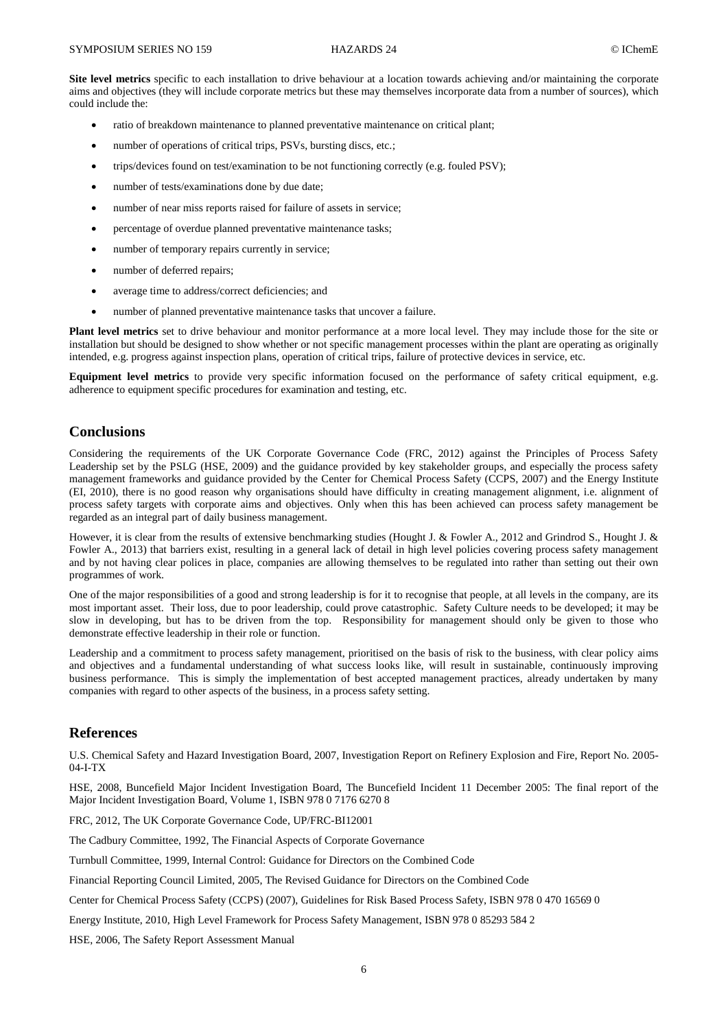**Site level metrics** specific to each installation to drive behaviour at a location towards achieving and/or maintaining the corporate aims and objectives (they will include corporate metrics but these may themselves incorporate data from a number of sources), which could include the:

- ratio of breakdown maintenance to planned preventative maintenance on critical plant;
- number of operations of critical trips, PSVs, bursting discs, etc.;
- trips/devices found on test/examination to be not functioning correctly (e.g. fouled PSV);
- number of tests/examinations done by due date;
- number of near miss reports raised for failure of assets in service;
- percentage of overdue planned preventative maintenance tasks;
- number of temporary repairs currently in service;
- number of deferred repairs;
- average time to address/correct deficiencies; and
- number of planned preventative maintenance tasks that uncover a failure.

**Plant level metrics** set to drive behaviour and monitor performance at a more local level. They may include those for the site or installation but should be designed to show whether or not specific management processes within the plant are operating as originally intended, e.g. progress against inspection plans, operation of critical trips, failure of protective devices in service, etc.

**Equipment level metrics** to provide very specific information focused on the performance of safety critical equipment, e.g. adherence to equipment specific procedures for examination and testing, etc.

## **Conclusions**

Considering the requirements of the UK Corporate Governance Code (FRC, 2012) against the Principles of Process Safety Leadership set by the PSLG (HSE, 2009) and the guidance provided by key stakeholder groups, and especially the process safety management frameworks and guidance provided by the Center for Chemical Process Safety (CCPS, 2007) and the Energy Institute (EI, 2010), there is no good reason why organisations should have difficulty in creating management alignment, i.e. alignment of process safety targets with corporate aims and objectives. Only when this has been achieved can process safety management be regarded as an integral part of daily business management.

However, it is clear from the results of extensive benchmarking studies (Hought J. & Fowler A., 2012 and Grindrod S., Hought J. & Fowler A., 2013) that barriers exist, resulting in a general lack of detail in high level policies covering process safety management and by not having clear polices in place, companies are allowing themselves to be regulated into rather than setting out their own programmes of work.

One of the major responsibilities of a good and strong leadership is for it to recognise that people, at all levels in the company, are its most important asset. Their loss, due to poor leadership, could prove catastrophic. Safety Culture needs to be developed; it may be slow in developing, but has to be driven from the top. Responsibility for management should only be given to those who demonstrate effective leadership in their role or function.

Leadership and a commitment to process safety management, prioritised on the basis of risk to the business, with clear policy aims and objectives and a fundamental understanding of what success looks like, will result in sustainable, continuously improving business performance. This is simply the implementation of best accepted management practices, already undertaken by many companies with regard to other aspects of the business, in a process safety setting.

## **References**

U.S. Chemical Safety and Hazard Investigation Board, 2007, Investigation Report on Refinery Explosion and Fire, Report No. 2005- 04-I-TX

HSE, 2008, Buncefield Major Incident Investigation Board, The Buncefield Incident 11 December 2005: The final report of the Major Incident Investigation Board, Volume 1, ISBN 978 0 7176 6270 8

FRC, 2012, The UK Corporate Governance Code, UP/FRC-BI12001

The Cadbury Committee, 1992, The Financial Aspects of Corporate Governance

Turnbull Committee, 1999, Internal Control: Guidance for Directors on the Combined Code

Financial Reporting Council Limited, 2005, The Revised Guidance for Directors on the Combined Code

Center for Chemical Process Safety (CCPS) (2007), Guidelines for Risk Based Process Safety, ISBN 978 0 470 16569 0

Energy Institute, 2010, High Level Framework for Process Safety Management, ISBN 978 0 85293 584 2

HSE, 2006, The Safety Report Assessment Manual